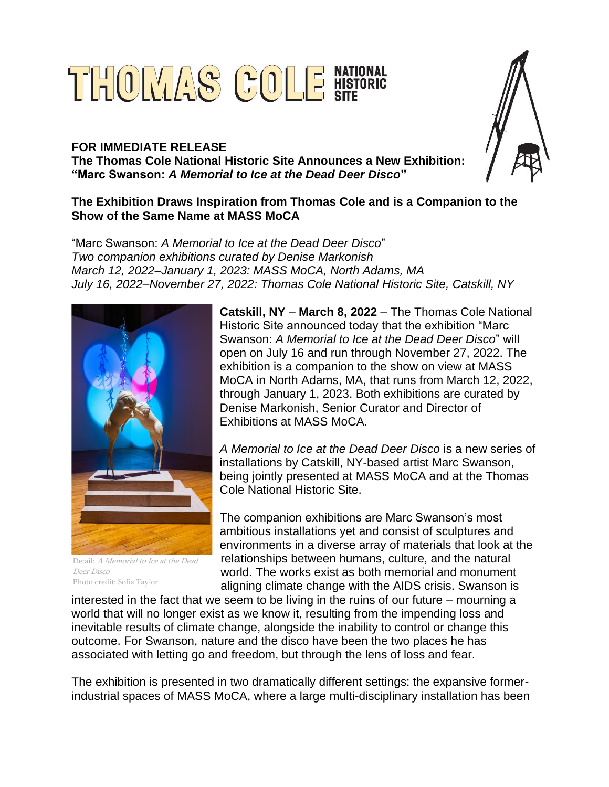# THOMAS COLE HISTORIC

## **FOR IMMEDIATE RELEASE The Thomas Cole National Historic Site Announces a New Exhibition: "Marc Swanson:** *A Memorial to Ice at the Dead Deer Disco***"**



#### **The Exhibition Draws Inspiration from Thomas Cole and is a Companion to the Show of the Same Name at MASS MoCA**

"Marc Swanson: *A Memorial to Ice at the Dead Deer Disco*" *Two companion exhibitions curated by Denise Markonish March 12, 2022–January 1, 2023: MASS MoCA, North Adams, MA July 16, 2022–November 27, 2022: Thomas Cole National Historic Site, Catskill, NY*



Detail: A Memorial to Ice at the Dead Deer Disco Photo credit: Sofia Taylor

**Catskill, NY** – **March 8, 2022** – The Thomas Cole National Historic Site announced today that the exhibition "Marc Swanson: *A Memorial to Ice at the Dead Deer Disco*" will open on July 16 and run through November 27, 2022. The exhibition is a companion to the show on view at MASS MoCA in North Adams, MA, that runs from March 12, 2022, through January 1, 2023. Both exhibitions are curated by Denise Markonish, Senior Curator and Director of Exhibitions at MASS MoCA.

*A Memorial to Ice at the Dead Deer Disco* is a new series of installations by Catskill, NY-based artist Marc Swanson, being jointly presented at MASS MoCA and at the Thomas Cole National Historic Site.

The companion exhibitions are Marc Swanson's most ambitious installations yet and consist of sculptures and environments in a diverse array of materials that look at the relationships between humans, culture, and the natural world. The works exist as both memorial and monument aligning climate change with the AIDS crisis. Swanson is

interested in the fact that we seem to be living in the ruins of our future – mourning a world that will no longer exist as we know it, resulting from the impending loss and inevitable results of climate change, alongside the inability to control or change this outcome. For Swanson, nature and the disco have been the two places he has associated with letting go and freedom, but through the lens of loss and fear.

The exhibition is presented in two dramatically different settings: the expansive formerindustrial spaces of MASS MoCA, where a large multi-disciplinary installation has been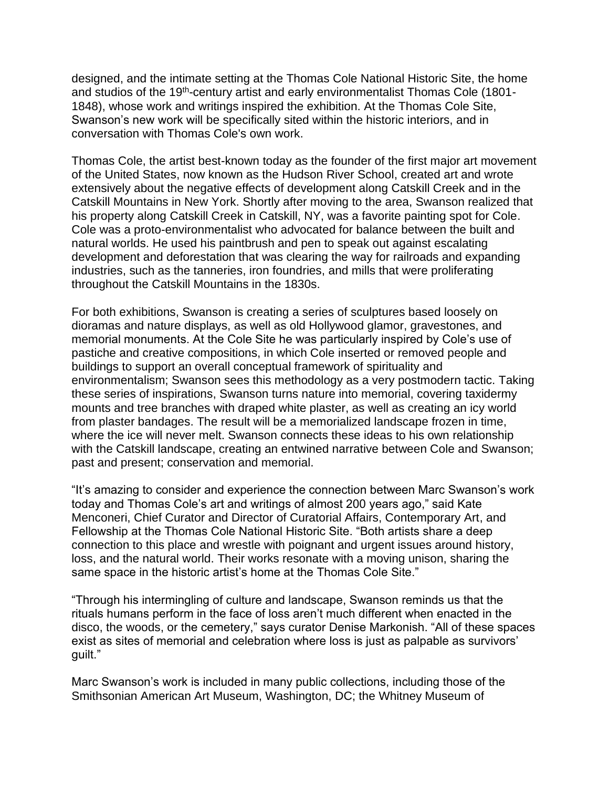designed, and the intimate setting at the Thomas Cole National Historic Site, the home and studios of the 19<sup>th</sup>-century artist and early environmentalist Thomas Cole (1801-1848), whose work and writings inspired the exhibition. At the Thomas Cole Site, Swanson's new work will be specifically sited within the historic interiors, and in conversation with Thomas Cole's own work.

Thomas Cole, the artist best-known today as the founder of the first major art movement of the United States, now known as the Hudson River School, created art and wrote extensively about the negative effects of development along Catskill Creek and in the Catskill Mountains in New York. Shortly after moving to the area, Swanson realized that his property along Catskill Creek in Catskill, NY, was a favorite painting spot for Cole. Cole was a proto-environmentalist who advocated for balance between the built and natural worlds. He used his paintbrush and pen to speak out against escalating development and deforestation that was clearing the way for railroads and expanding industries, such as the tanneries, iron foundries, and mills that were proliferating throughout the Catskill Mountains in the 1830s.

For both exhibitions, Swanson is creating a series of sculptures based loosely on dioramas and nature displays, as well as old Hollywood glamor, gravestones, and memorial monuments. At the Cole Site he was particularly inspired by Cole's use of pastiche and creative compositions, in which Cole inserted or removed people and buildings to support an overall conceptual framework of spirituality and environmentalism; Swanson sees this methodology as a very postmodern tactic. Taking these series of inspirations, Swanson turns nature into memorial, covering taxidermy mounts and tree branches with draped white plaster, as well as creating an icy world from plaster bandages. The result will be a memorialized landscape frozen in time, where the ice will never melt. Swanson connects these ideas to his own relationship with the Catskill landscape, creating an entwined narrative between Cole and Swanson; past and present; conservation and memorial.

"It's amazing to consider and experience the connection between Marc Swanson's work today and Thomas Cole's art and writings of almost 200 years ago," said Kate Menconeri, Chief Curator and Director of Curatorial Affairs, Contemporary Art, and Fellowship at the Thomas Cole National Historic Site. "Both artists share a deep connection to this place and wrestle with poignant and urgent issues around history, loss, and the natural world. Their works resonate with a moving unison, sharing the same space in the historic artist's home at the Thomas Cole Site."

"Through his intermingling of culture and landscape, Swanson reminds us that the rituals humans perform in the face of loss aren't much different when enacted in the disco, the woods, or the cemetery," says curator Denise Markonish. "All of these spaces exist as sites of memorial and celebration where loss is just as palpable as survivors' guilt."

Marc Swanson's work is included in many public collections, including those of the Smithsonian American Art Museum, Washington, DC; the Whitney Museum of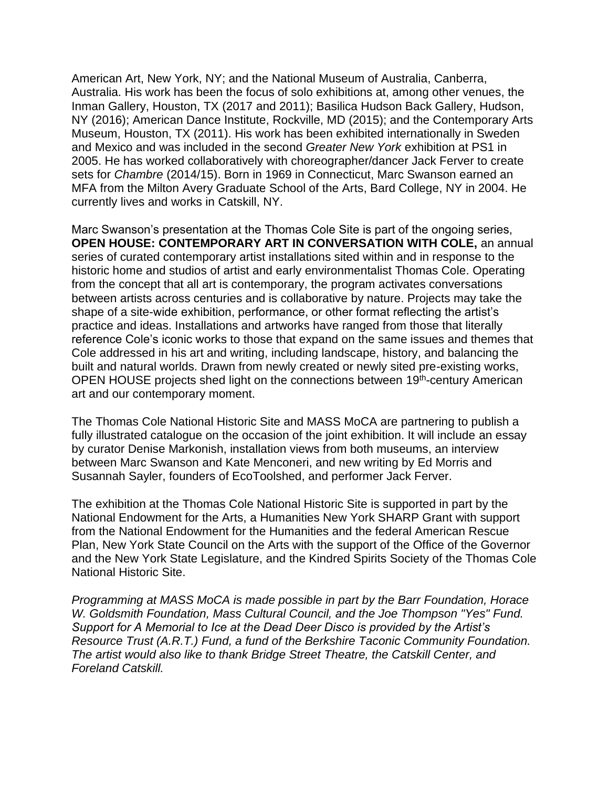American Art, New York, NY; and the National Museum of Australia, Canberra, Australia. His work has been the focus of solo exhibitions at, among other venues, the Inman Gallery, Houston, TX (2017 and 2011); Basilica Hudson Back Gallery, Hudson, NY (2016); American Dance Institute, Rockville, MD (2015); and the Contemporary Arts Museum, Houston, TX (2011). His work has been exhibited internationally in Sweden and Mexico and was included in the second *Greater New York* exhibition at PS1 in 2005. He has worked collaboratively with choreographer/dancer Jack Ferver to create sets for *Chambre* (2014/15). Born in 1969 in Connecticut, Marc Swanson earned an MFA from the Milton Avery Graduate School of the Arts, Bard College, NY in 2004. He currently lives and works in Catskill, NY.

Marc Swanson's presentation at the Thomas Cole Site is part of the ongoing series, **OPEN HOUSE: CONTEMPORARY ART IN CONVERSATION WITH COLE,** an annual series of curated contemporary artist installations sited within and in response to the historic home and studios of artist and early environmentalist Thomas Cole. Operating from the concept that all art is contemporary, the program activates conversations between artists across centuries and is collaborative by nature. Projects may take the shape of a site-wide exhibition, performance, or other format reflecting the artist's practice and ideas. Installations and artworks have ranged from those that literally reference Cole's iconic works to those that expand on the same issues and themes that Cole addressed in his art and writing, including landscape, history, and balancing the built and natural worlds. Drawn from newly created or newly sited pre-existing works, OPEN HOUSE projects shed light on the connections between 19<sup>th</sup>-century American art and our contemporary moment.

The Thomas Cole National Historic Site and MASS MoCA are partnering to publish a fully illustrated catalogue on the occasion of the joint exhibition. It will include an essay by curator Denise Markonish, installation views from both museums, an interview between Marc Swanson and Kate Menconeri, and new writing by Ed Morris and Susannah Sayler, founders of EcoToolshed, and performer Jack Ferver.

The exhibition at the Thomas Cole National Historic Site is supported in part by the National Endowment for the Arts, a Humanities New York SHARP Grant with support from the National Endowment for the Humanities and the federal American Rescue Plan, New York State Council on the Arts with the support of the Office of the Governor and the New York State Legislature, and the Kindred Spirits Society of the Thomas Cole National Historic Site.

*Programming at MASS MoCA is made possible in part by the Barr Foundation, Horace W. Goldsmith Foundation, Mass Cultural Council, and the Joe Thompson "Yes" Fund. Support for A Memorial to Ice at the Dead Deer Disco is provided by the Artist's Resource Trust (A.R.T.) Fund, a fund of the Berkshire Taconic Community Foundation. The artist would also like to thank Bridge Street Theatre, the Catskill Center, and Foreland Catskill.*